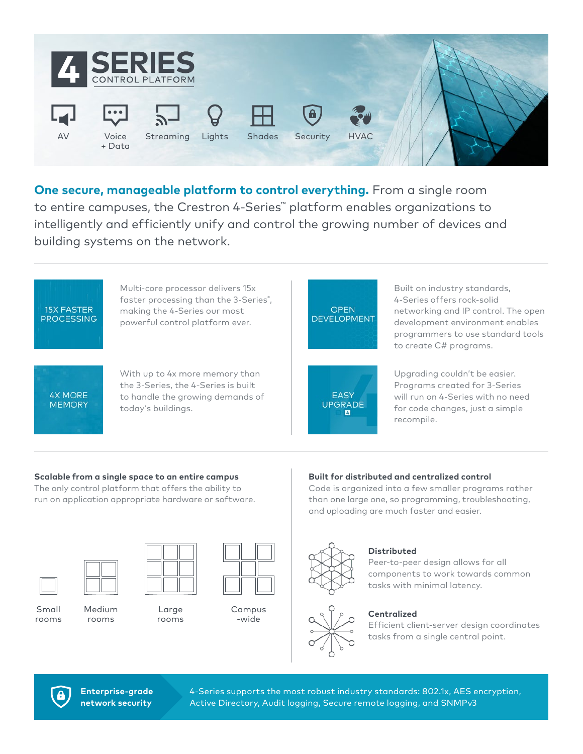

**One secure, manageable platform to control everything.** From a single room to entire campuses, the Crestron 4-Series™ platform enables organizations to intelligently and efficiently unify and control the growing number of devices and building systems on the network.



### **Scalable from a single space to an entire campus**

The only control platform that offers the ability to run on application appropriate hardware or software.

### **Built for distributed and centralized control**

Code is organized into a few smaller programs rather than one large one, so programming, troubleshooting, and uploading are much faster and easier.



Medium rooms

Small rooms

Large rooms

Campus -wide



## **Distributed**

Peer-to-peer design allows for all components to work towards common tasks with minimal latency.

### **Centralized**

Efficient client-server design coordinates tasks from a single central point.



**Enterprise-grade network security**

4-Series supports the most robust industry standards: 802.1x, AES encryption, Active Directory, Audit logging, Secure remote logging, and SNMPv3